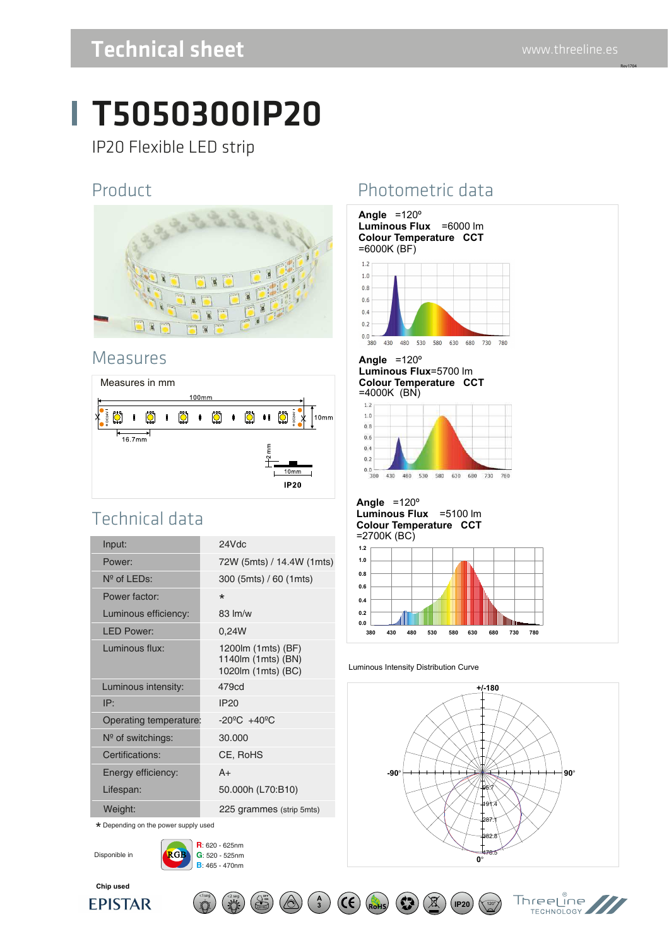Rev1704

# Technical sheet www.threeline.es

# T5050300IP20

IP20 Flexible LED strip

#### Product



#### Measures



### Technical data

| Input:                 | 24Vdc                                                          |
|------------------------|----------------------------------------------------------------|
| Power:                 | 72W (5mts) / 14.4W (1mts)                                      |
| $N^{\circ}$ of LEDs:   | 300 (5mts) / 60 (1mts)                                         |
| Power factor:          | $\star$                                                        |
| Luminous efficiency:   | $83 \,$ lm/w                                                   |
| <b>LED Power:</b>      | 0.24W                                                          |
| Luminous flux:         | 1200lm (1mts) (BF)<br>1140lm (1mts) (BN)<br>1020lm (1mts) (BC) |
| Luminous intensity:    | 479cd                                                          |
| IP:                    | <b>IP20</b>                                                    |
| Operating temperature: | $-20^{\circ}$ C $+40^{\circ}$ C                                |
| $N°$ of switchings:    | 30.000                                                         |
| Certifications:        | CE, RoHS                                                       |
| Energy efficiency:     | $A+$                                                           |
| Lifespan:              | 50.000h (L70:B10)                                              |
| Weight:                | 225 grammes (strip 5mts)                                       |

\* Depending on the power supply used

Disponible in

**Chip used**

**EPISTAR** 



**R**: 620 - 625nm

 $\lt$ 1seg  $\lt/$   $\lt$ 2 seg  $\lt/$   $\lt$ 

**A**  $\left(\bigotimes_{i=1}^{n} \right) \left(\bigotimes_{i=1}^{n} \right) \left(\begin{array}{c} A \\ 3 \end{array}\right)$ 

## Photometric data



#### Luminous Intensity Distribution Curve



**IP20**